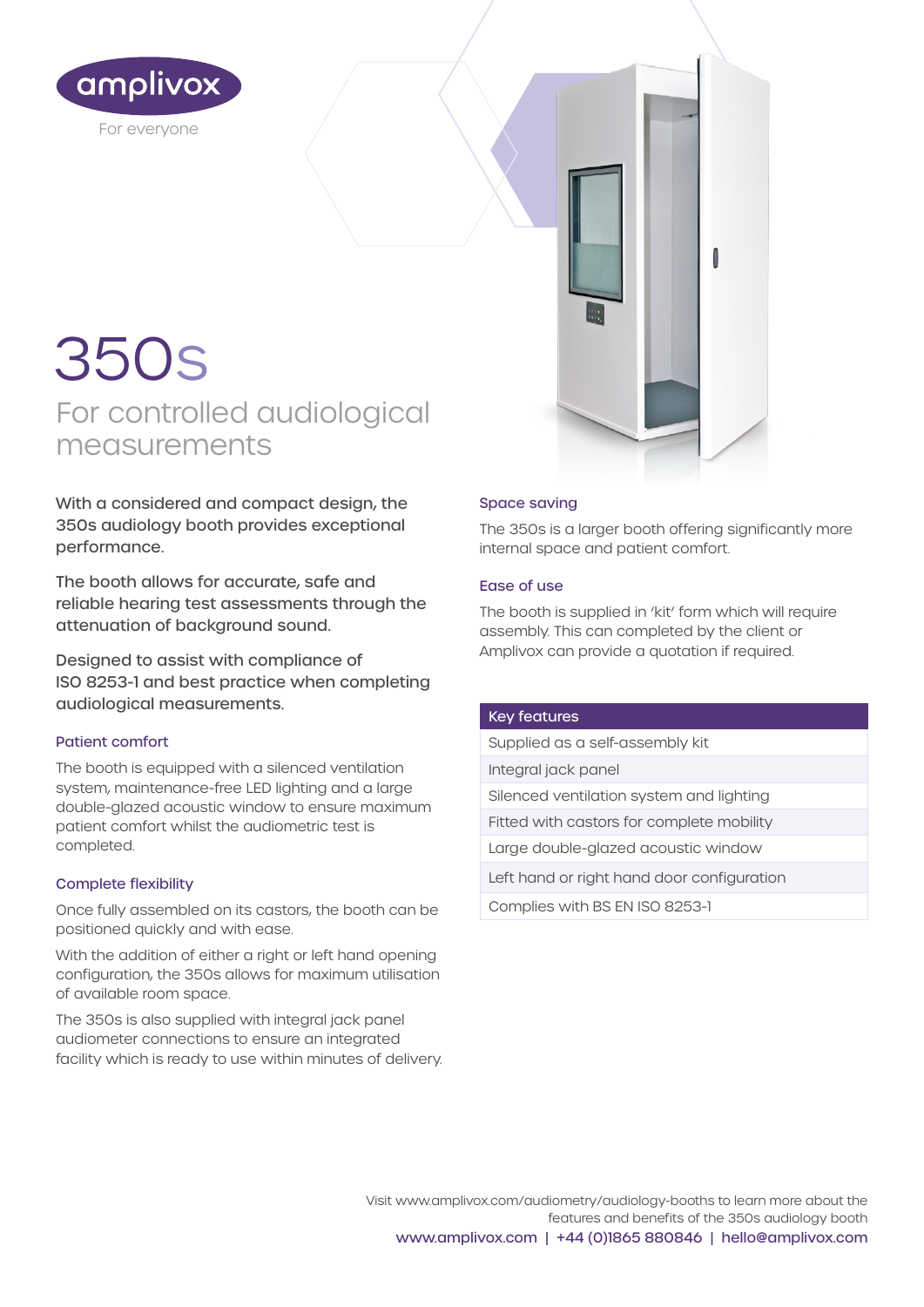

# For controlled audiological measurements 350s

With a considered and compact design, the 350s audiology booth provides exceptional performance.

The booth allows for accurate, safe and reliable hearing test assessments through the attenuation of background sound.

Designed to assist with compliance of ISO 8253-1 and best practice when completing audiological measurements.

# Patient comfort

The booth is equipped with a silenced ventilation system, maintenance-free LED lighting and a large double-glazed acoustic window to ensure maximum patient comfort whilst the audiometric test is completed.

# Complete flexibility

Once fully assembled on its castors, the booth can be positioned quickly and with ease.

With the addition of either a right or left hand opening configuration, the 350s allows for maximum utilisation of available room space.

The 350s is also supplied with integral jack panel audiometer connections to ensure an integrated facility which is ready to use within minutes of delivery.

# Space saving

The 350s is a larger booth offering significantly more internal space and patient comfort.

### Ease of use

The booth is supplied in 'kit' form which will require assembly. This can completed by the client or Amplivox can provide a quotation if required.

#### Key features

Supplied as a self-assembly kit Integral jack panel Silenced ventilation system and lighting Fitted with castors for complete mobility Large double-glazed acoustic window Left hand or right hand door configuration Complies with BS EN ISO 8253-1